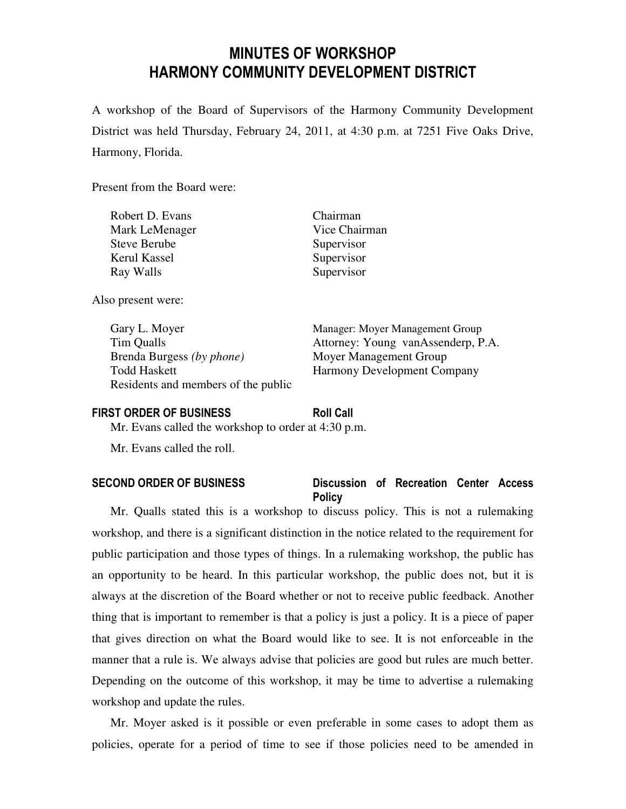# MINUTES OF WORKSHOP HARMONY COMMUNITY DEVELOPMENT DISTRICT

A workshop of the Board of Supervisors of the Harmony Community Development District was held Thursday, February 24, 2011, at 4:30 p.m. at 7251 Five Oaks Drive, Harmony, Florida.

Present from the Board were:

| Robert D. Evans     | Chairman      |
|---------------------|---------------|
| Mark LeMenager      | Vice Chairman |
| <b>Steve Berube</b> | Supervisor    |
| Kerul Kassel        | Supervisor    |
| Ray Walls           | Supervisor    |
|                     |               |

Also present were:

 Gary L. Moyer Manager: Moyer Management Group Brenda Burgess *(by phone)* Moyer Management Group Todd Haskett Harmony Development Company Residents and members of the public

Tim Qualls Attorney: Young vanAssenderp, P.A.

#### FIRST ORDER OF BUSINESS Roll Call

Mr. Evans called the workshop to order at 4:30 p.m.

Mr. Evans called the roll.

## SECOND ORDER OF BUSINESS Discussion of Recreation Center Access **Policy**

Mr. Qualls stated this is a workshop to discuss policy. This is not a rulemaking workshop, and there is a significant distinction in the notice related to the requirement for public participation and those types of things. In a rulemaking workshop, the public has an opportunity to be heard. In this particular workshop, the public does not, but it is always at the discretion of the Board whether or not to receive public feedback. Another thing that is important to remember is that a policy is just a policy. It is a piece of paper that gives direction on what the Board would like to see. It is not enforceable in the manner that a rule is. We always advise that policies are good but rules are much better. Depending on the outcome of this workshop, it may be time to advertise a rulemaking workshop and update the rules.

Mr. Moyer asked is it possible or even preferable in some cases to adopt them as policies, operate for a period of time to see if those policies need to be amended in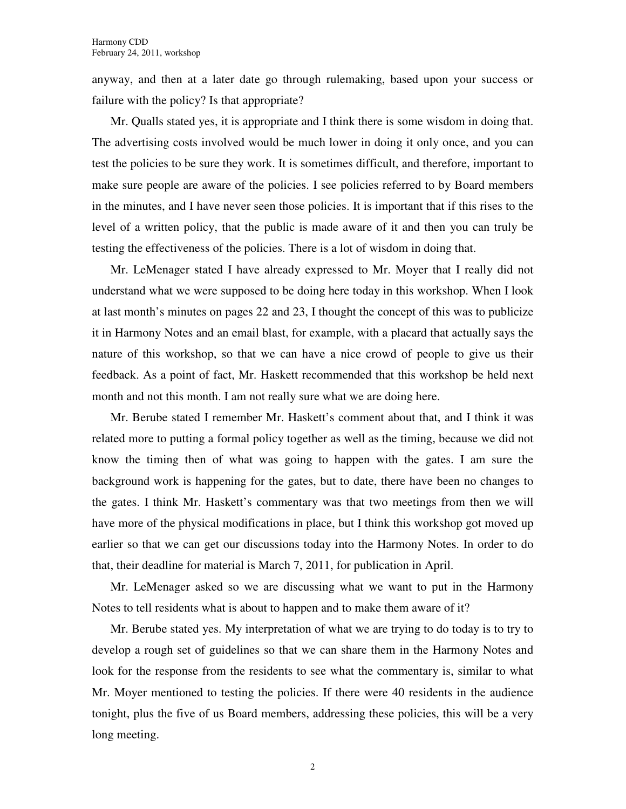anyway, and then at a later date go through rulemaking, based upon your success or failure with the policy? Is that appropriate?

Mr. Qualls stated yes, it is appropriate and I think there is some wisdom in doing that. The advertising costs involved would be much lower in doing it only once, and you can test the policies to be sure they work. It is sometimes difficult, and therefore, important to make sure people are aware of the policies. I see policies referred to by Board members in the minutes, and I have never seen those policies. It is important that if this rises to the level of a written policy, that the public is made aware of it and then you can truly be testing the effectiveness of the policies. There is a lot of wisdom in doing that.

Mr. LeMenager stated I have already expressed to Mr. Moyer that I really did not understand what we were supposed to be doing here today in this workshop. When I look at last month's minutes on pages 22 and 23, I thought the concept of this was to publicize it in Harmony Notes and an email blast, for example, with a placard that actually says the nature of this workshop, so that we can have a nice crowd of people to give us their feedback. As a point of fact, Mr. Haskett recommended that this workshop be held next month and not this month. I am not really sure what we are doing here.

Mr. Berube stated I remember Mr. Haskett's comment about that, and I think it was related more to putting a formal policy together as well as the timing, because we did not know the timing then of what was going to happen with the gates. I am sure the background work is happening for the gates, but to date, there have been no changes to the gates. I think Mr. Haskett's commentary was that two meetings from then we will have more of the physical modifications in place, but I think this workshop got moved up earlier so that we can get our discussions today into the Harmony Notes. In order to do that, their deadline for material is March 7, 2011, for publication in April.

Mr. LeMenager asked so we are discussing what we want to put in the Harmony Notes to tell residents what is about to happen and to make them aware of it?

Mr. Berube stated yes. My interpretation of what we are trying to do today is to try to develop a rough set of guidelines so that we can share them in the Harmony Notes and look for the response from the residents to see what the commentary is, similar to what Mr. Moyer mentioned to testing the policies. If there were 40 residents in the audience tonight, plus the five of us Board members, addressing these policies, this will be a very long meeting.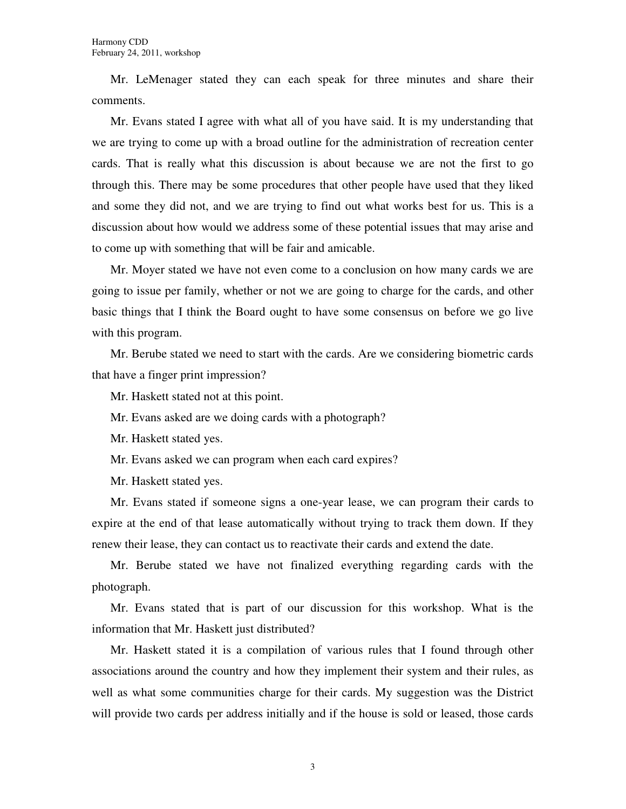Mr. LeMenager stated they can each speak for three minutes and share their comments.

Mr. Evans stated I agree with what all of you have said. It is my understanding that we are trying to come up with a broad outline for the administration of recreation center cards. That is really what this discussion is about because we are not the first to go through this. There may be some procedures that other people have used that they liked and some they did not, and we are trying to find out what works best for us. This is a discussion about how would we address some of these potential issues that may arise and to come up with something that will be fair and amicable.

Mr. Moyer stated we have not even come to a conclusion on how many cards we are going to issue per family, whether or not we are going to charge for the cards, and other basic things that I think the Board ought to have some consensus on before we go live with this program.

Mr. Berube stated we need to start with the cards. Are we considering biometric cards that have a finger print impression?

Mr. Haskett stated not at this point.

Mr. Evans asked are we doing cards with a photograph?

Mr. Haskett stated yes.

Mr. Evans asked we can program when each card expires?

Mr. Haskett stated yes.

Mr. Evans stated if someone signs a one-year lease, we can program their cards to expire at the end of that lease automatically without trying to track them down. If they renew their lease, they can contact us to reactivate their cards and extend the date.

Mr. Berube stated we have not finalized everything regarding cards with the photograph.

Mr. Evans stated that is part of our discussion for this workshop. What is the information that Mr. Haskett just distributed?

Mr. Haskett stated it is a compilation of various rules that I found through other associations around the country and how they implement their system and their rules, as well as what some communities charge for their cards. My suggestion was the District will provide two cards per address initially and if the house is sold or leased, those cards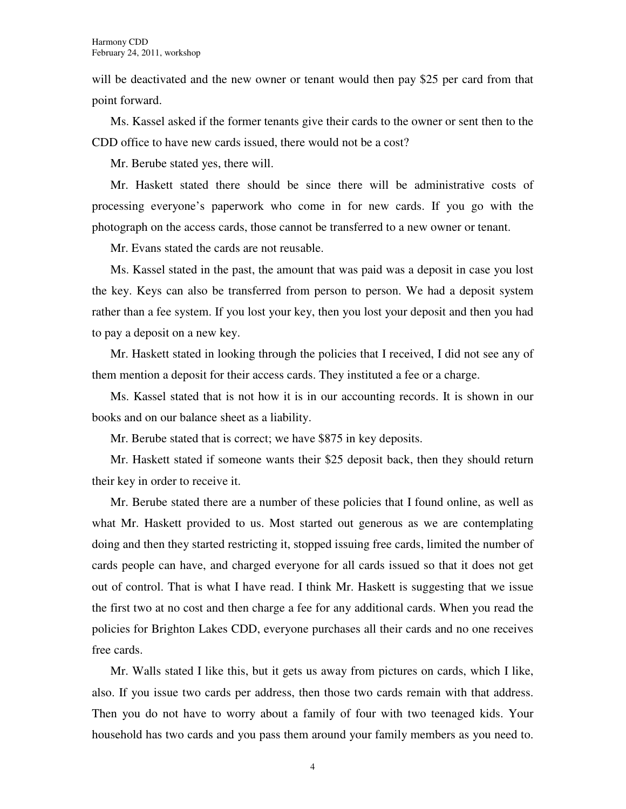will be deactivated and the new owner or tenant would then pay \$25 per card from that point forward.

Ms. Kassel asked if the former tenants give their cards to the owner or sent then to the CDD office to have new cards issued, there would not be a cost?

Mr. Berube stated yes, there will.

Mr. Haskett stated there should be since there will be administrative costs of processing everyone's paperwork who come in for new cards. If you go with the photograph on the access cards, those cannot be transferred to a new owner or tenant.

Mr. Evans stated the cards are not reusable.

Ms. Kassel stated in the past, the amount that was paid was a deposit in case you lost the key. Keys can also be transferred from person to person. We had a deposit system rather than a fee system. If you lost your key, then you lost your deposit and then you had to pay a deposit on a new key.

Mr. Haskett stated in looking through the policies that I received, I did not see any of them mention a deposit for their access cards. They instituted a fee or a charge.

Ms. Kassel stated that is not how it is in our accounting records. It is shown in our books and on our balance sheet as a liability.

Mr. Berube stated that is correct; we have \$875 in key deposits.

Mr. Haskett stated if someone wants their \$25 deposit back, then they should return their key in order to receive it.

Mr. Berube stated there are a number of these policies that I found online, as well as what Mr. Haskett provided to us. Most started out generous as we are contemplating doing and then they started restricting it, stopped issuing free cards, limited the number of cards people can have, and charged everyone for all cards issued so that it does not get out of control. That is what I have read. I think Mr. Haskett is suggesting that we issue the first two at no cost and then charge a fee for any additional cards. When you read the policies for Brighton Lakes CDD, everyone purchases all their cards and no one receives free cards.

Mr. Walls stated I like this, but it gets us away from pictures on cards, which I like, also. If you issue two cards per address, then those two cards remain with that address. Then you do not have to worry about a family of four with two teenaged kids. Your household has two cards and you pass them around your family members as you need to.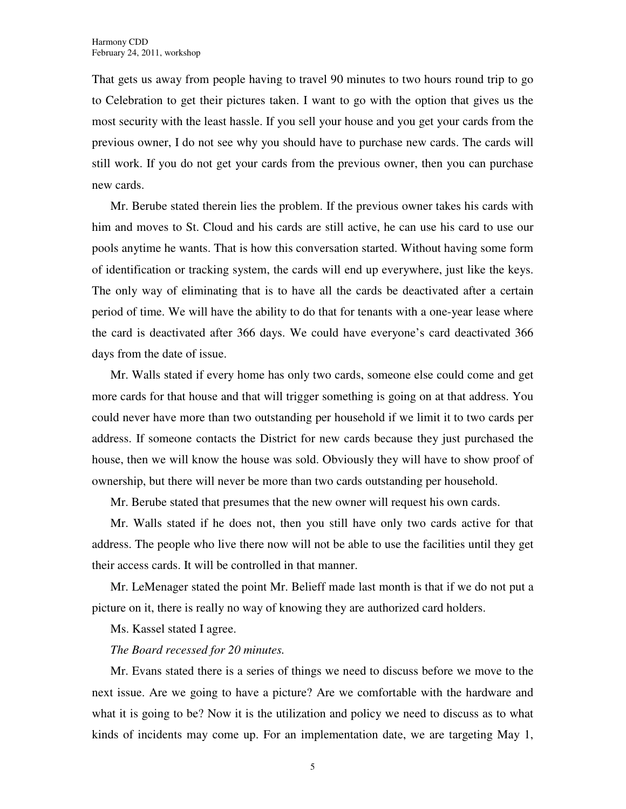That gets us away from people having to travel 90 minutes to two hours round trip to go to Celebration to get their pictures taken. I want to go with the option that gives us the most security with the least hassle. If you sell your house and you get your cards from the previous owner, I do not see why you should have to purchase new cards. The cards will still work. If you do not get your cards from the previous owner, then you can purchase new cards.

Mr. Berube stated therein lies the problem. If the previous owner takes his cards with him and moves to St. Cloud and his cards are still active, he can use his card to use our pools anytime he wants. That is how this conversation started. Without having some form of identification or tracking system, the cards will end up everywhere, just like the keys. The only way of eliminating that is to have all the cards be deactivated after a certain period of time. We will have the ability to do that for tenants with a one-year lease where the card is deactivated after 366 days. We could have everyone's card deactivated 366 days from the date of issue.

Mr. Walls stated if every home has only two cards, someone else could come and get more cards for that house and that will trigger something is going on at that address. You could never have more than two outstanding per household if we limit it to two cards per address. If someone contacts the District for new cards because they just purchased the house, then we will know the house was sold. Obviously they will have to show proof of ownership, but there will never be more than two cards outstanding per household.

Mr. Berube stated that presumes that the new owner will request his own cards.

Mr. Walls stated if he does not, then you still have only two cards active for that address. The people who live there now will not be able to use the facilities until they get their access cards. It will be controlled in that manner.

Mr. LeMenager stated the point Mr. Belieff made last month is that if we do not put a picture on it, there is really no way of knowing they are authorized card holders.

Ms. Kassel stated I agree.

### *The Board recessed for 20 minutes.*

Mr. Evans stated there is a series of things we need to discuss before we move to the next issue. Are we going to have a picture? Are we comfortable with the hardware and what it is going to be? Now it is the utilization and policy we need to discuss as to what kinds of incidents may come up. For an implementation date, we are targeting May 1,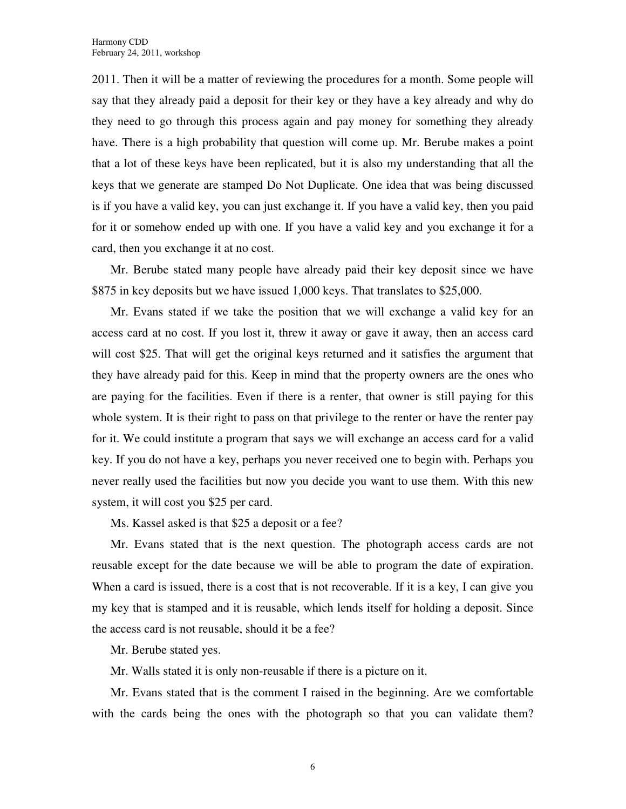2011. Then it will be a matter of reviewing the procedures for a month. Some people will say that they already paid a deposit for their key or they have a key already and why do they need to go through this process again and pay money for something they already have. There is a high probability that question will come up. Mr. Berube makes a point that a lot of these keys have been replicated, but it is also my understanding that all the keys that we generate are stamped Do Not Duplicate. One idea that was being discussed is if you have a valid key, you can just exchange it. If you have a valid key, then you paid for it or somehow ended up with one. If you have a valid key and you exchange it for a card, then you exchange it at no cost.

Mr. Berube stated many people have already paid their key deposit since we have \$875 in key deposits but we have issued 1,000 keys. That translates to \$25,000.

Mr. Evans stated if we take the position that we will exchange a valid key for an access card at no cost. If you lost it, threw it away or gave it away, then an access card will cost \$25. That will get the original keys returned and it satisfies the argument that they have already paid for this. Keep in mind that the property owners are the ones who are paying for the facilities. Even if there is a renter, that owner is still paying for this whole system. It is their right to pass on that privilege to the renter or have the renter pay for it. We could institute a program that says we will exchange an access card for a valid key. If you do not have a key, perhaps you never received one to begin with. Perhaps you never really used the facilities but now you decide you want to use them. With this new system, it will cost you \$25 per card.

Ms. Kassel asked is that \$25 a deposit or a fee?

Mr. Evans stated that is the next question. The photograph access cards are not reusable except for the date because we will be able to program the date of expiration. When a card is issued, there is a cost that is not recoverable. If it is a key, I can give you my key that is stamped and it is reusable, which lends itself for holding a deposit. Since the access card is not reusable, should it be a fee?

Mr. Berube stated yes.

Mr. Walls stated it is only non-reusable if there is a picture on it.

Mr. Evans stated that is the comment I raised in the beginning. Are we comfortable with the cards being the ones with the photograph so that you can validate them?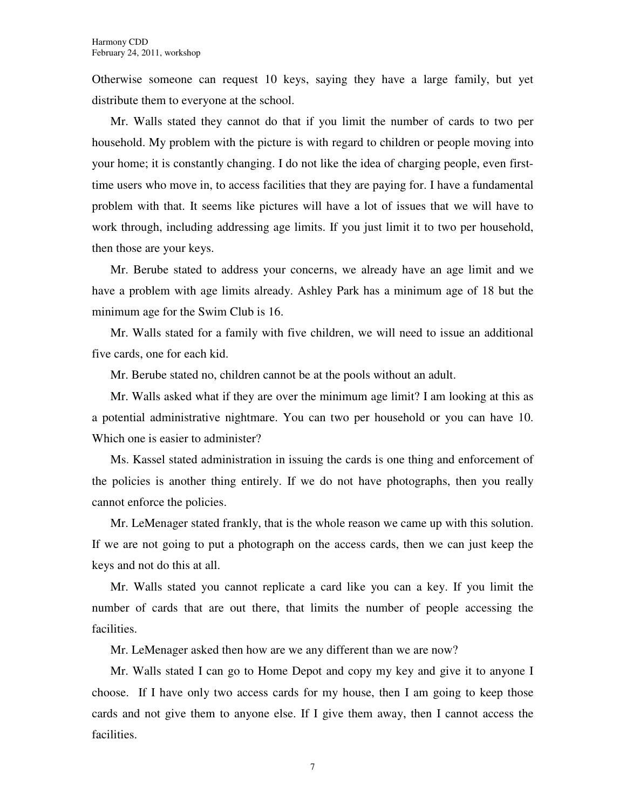Otherwise someone can request 10 keys, saying they have a large family, but yet distribute them to everyone at the school.

Mr. Walls stated they cannot do that if you limit the number of cards to two per household. My problem with the picture is with regard to children or people moving into your home; it is constantly changing. I do not like the idea of charging people, even firsttime users who move in, to access facilities that they are paying for. I have a fundamental problem with that. It seems like pictures will have a lot of issues that we will have to work through, including addressing age limits. If you just limit it to two per household, then those are your keys.

Mr. Berube stated to address your concerns, we already have an age limit and we have a problem with age limits already. Ashley Park has a minimum age of 18 but the minimum age for the Swim Club is 16.

Mr. Walls stated for a family with five children, we will need to issue an additional five cards, one for each kid.

Mr. Berube stated no, children cannot be at the pools without an adult.

Mr. Walls asked what if they are over the minimum age limit? I am looking at this as a potential administrative nightmare. You can two per household or you can have 10. Which one is easier to administer?

Ms. Kassel stated administration in issuing the cards is one thing and enforcement of the policies is another thing entirely. If we do not have photographs, then you really cannot enforce the policies.

Mr. LeMenager stated frankly, that is the whole reason we came up with this solution. If we are not going to put a photograph on the access cards, then we can just keep the keys and not do this at all.

Mr. Walls stated you cannot replicate a card like you can a key. If you limit the number of cards that are out there, that limits the number of people accessing the facilities.

Mr. LeMenager asked then how are we any different than we are now?

Mr. Walls stated I can go to Home Depot and copy my key and give it to anyone I choose. If I have only two access cards for my house, then I am going to keep those cards and not give them to anyone else. If I give them away, then I cannot access the facilities.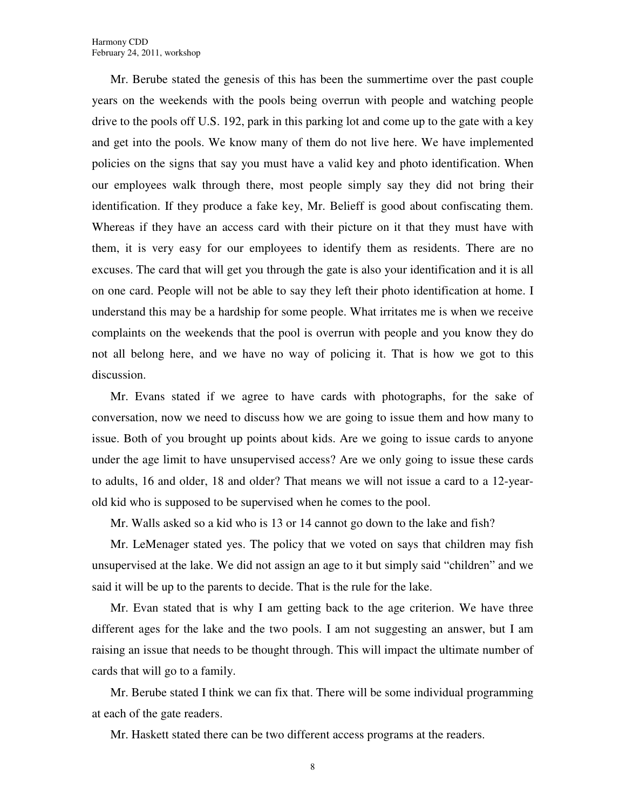Mr. Berube stated the genesis of this has been the summertime over the past couple years on the weekends with the pools being overrun with people and watching people drive to the pools off U.S. 192, park in this parking lot and come up to the gate with a key and get into the pools. We know many of them do not live here. We have implemented policies on the signs that say you must have a valid key and photo identification. When our employees walk through there, most people simply say they did not bring their identification. If they produce a fake key, Mr. Belieff is good about confiscating them. Whereas if they have an access card with their picture on it that they must have with them, it is very easy for our employees to identify them as residents. There are no excuses. The card that will get you through the gate is also your identification and it is all on one card. People will not be able to say they left their photo identification at home. I understand this may be a hardship for some people. What irritates me is when we receive complaints on the weekends that the pool is overrun with people and you know they do not all belong here, and we have no way of policing it. That is how we got to this discussion.

Mr. Evans stated if we agree to have cards with photographs, for the sake of conversation, now we need to discuss how we are going to issue them and how many to issue. Both of you brought up points about kids. Are we going to issue cards to anyone under the age limit to have unsupervised access? Are we only going to issue these cards to adults, 16 and older, 18 and older? That means we will not issue a card to a 12-yearold kid who is supposed to be supervised when he comes to the pool.

Mr. Walls asked so a kid who is 13 or 14 cannot go down to the lake and fish?

Mr. LeMenager stated yes. The policy that we voted on says that children may fish unsupervised at the lake. We did not assign an age to it but simply said "children" and we said it will be up to the parents to decide. That is the rule for the lake.

Mr. Evan stated that is why I am getting back to the age criterion. We have three different ages for the lake and the two pools. I am not suggesting an answer, but I am raising an issue that needs to be thought through. This will impact the ultimate number of cards that will go to a family.

Mr. Berube stated I think we can fix that. There will be some individual programming at each of the gate readers.

Mr. Haskett stated there can be two different access programs at the readers.

8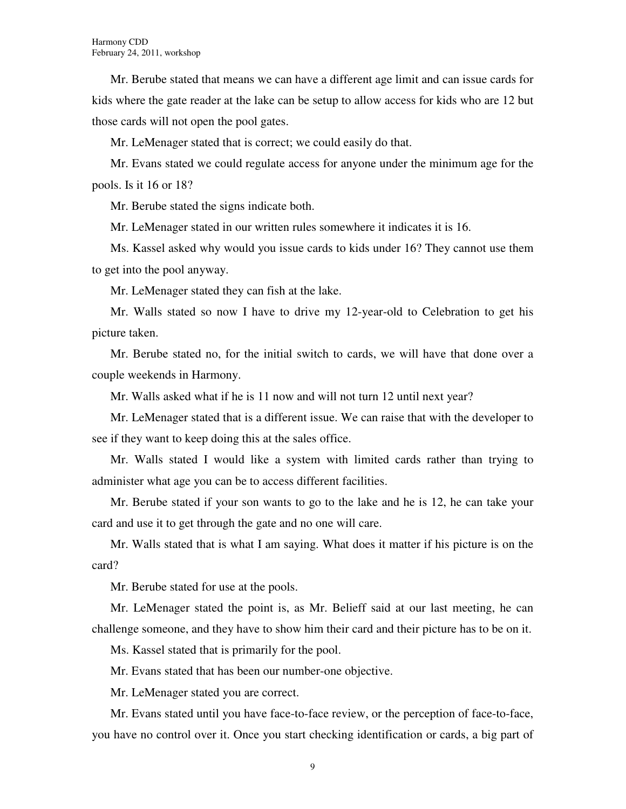Mr. Berube stated that means we can have a different age limit and can issue cards for kids where the gate reader at the lake can be setup to allow access for kids who are 12 but those cards will not open the pool gates.

Mr. LeMenager stated that is correct; we could easily do that.

Mr. Evans stated we could regulate access for anyone under the minimum age for the pools. Is it 16 or 18?

Mr. Berube stated the signs indicate both.

Mr. LeMenager stated in our written rules somewhere it indicates it is 16.

Ms. Kassel asked why would you issue cards to kids under 16? They cannot use them to get into the pool anyway.

Mr. LeMenager stated they can fish at the lake.

Mr. Walls stated so now I have to drive my 12-year-old to Celebration to get his picture taken.

Mr. Berube stated no, for the initial switch to cards, we will have that done over a couple weekends in Harmony.

Mr. Walls asked what if he is 11 now and will not turn 12 until next year?

Mr. LeMenager stated that is a different issue. We can raise that with the developer to see if they want to keep doing this at the sales office.

Mr. Walls stated I would like a system with limited cards rather than trying to administer what age you can be to access different facilities.

Mr. Berube stated if your son wants to go to the lake and he is 12, he can take your card and use it to get through the gate and no one will care.

Mr. Walls stated that is what I am saying. What does it matter if his picture is on the card?

Mr. Berube stated for use at the pools.

Mr. LeMenager stated the point is, as Mr. Belieff said at our last meeting, he can challenge someone, and they have to show him their card and their picture has to be on it.

Ms. Kassel stated that is primarily for the pool.

Mr. Evans stated that has been our number-one objective.

Mr. LeMenager stated you are correct.

Mr. Evans stated until you have face-to-face review, or the perception of face-to-face, you have no control over it. Once you start checking identification or cards, a big part of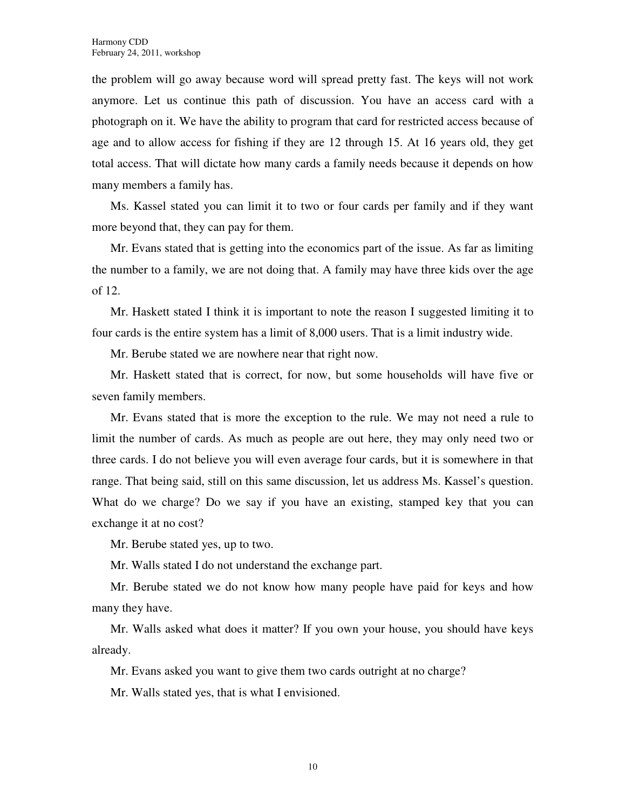the problem will go away because word will spread pretty fast. The keys will not work anymore. Let us continue this path of discussion. You have an access card with a photograph on it. We have the ability to program that card for restricted access because of age and to allow access for fishing if they are 12 through 15. At 16 years old, they get total access. That will dictate how many cards a family needs because it depends on how many members a family has.

Ms. Kassel stated you can limit it to two or four cards per family and if they want more beyond that, they can pay for them.

Mr. Evans stated that is getting into the economics part of the issue. As far as limiting the number to a family, we are not doing that. A family may have three kids over the age of 12.

Mr. Haskett stated I think it is important to note the reason I suggested limiting it to four cards is the entire system has a limit of 8,000 users. That is a limit industry wide.

Mr. Berube stated we are nowhere near that right now.

Mr. Haskett stated that is correct, for now, but some households will have five or seven family members.

Mr. Evans stated that is more the exception to the rule. We may not need a rule to limit the number of cards. As much as people are out here, they may only need two or three cards. I do not believe you will even average four cards, but it is somewhere in that range. That being said, still on this same discussion, let us address Ms. Kassel's question. What do we charge? Do we say if you have an existing, stamped key that you can exchange it at no cost?

Mr. Berube stated yes, up to two.

Mr. Walls stated I do not understand the exchange part.

Mr. Berube stated we do not know how many people have paid for keys and how many they have.

Mr. Walls asked what does it matter? If you own your house, you should have keys already.

Mr. Evans asked you want to give them two cards outright at no charge?

Mr. Walls stated yes, that is what I envisioned.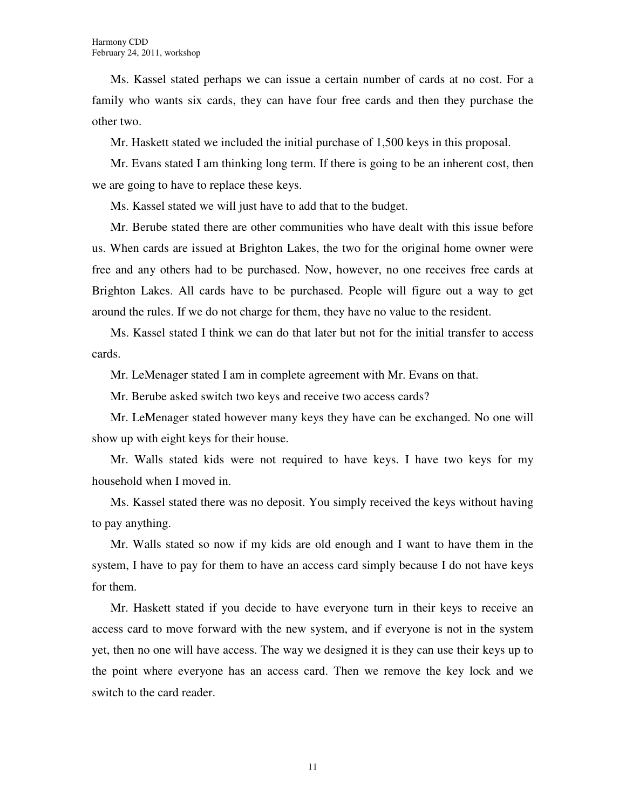Ms. Kassel stated perhaps we can issue a certain number of cards at no cost. For a family who wants six cards, they can have four free cards and then they purchase the other two.

Mr. Haskett stated we included the initial purchase of 1,500 keys in this proposal.

Mr. Evans stated I am thinking long term. If there is going to be an inherent cost, then we are going to have to replace these keys.

Ms. Kassel stated we will just have to add that to the budget.

Mr. Berube stated there are other communities who have dealt with this issue before us. When cards are issued at Brighton Lakes, the two for the original home owner were free and any others had to be purchased. Now, however, no one receives free cards at Brighton Lakes. All cards have to be purchased. People will figure out a way to get around the rules. If we do not charge for them, they have no value to the resident.

Ms. Kassel stated I think we can do that later but not for the initial transfer to access cards.

Mr. LeMenager stated I am in complete agreement with Mr. Evans on that.

Mr. Berube asked switch two keys and receive two access cards?

Mr. LeMenager stated however many keys they have can be exchanged. No one will show up with eight keys for their house.

Mr. Walls stated kids were not required to have keys. I have two keys for my household when I moved in.

Ms. Kassel stated there was no deposit. You simply received the keys without having to pay anything.

Mr. Walls stated so now if my kids are old enough and I want to have them in the system, I have to pay for them to have an access card simply because I do not have keys for them.

Mr. Haskett stated if you decide to have everyone turn in their keys to receive an access card to move forward with the new system, and if everyone is not in the system yet, then no one will have access. The way we designed it is they can use their keys up to the point where everyone has an access card. Then we remove the key lock and we switch to the card reader.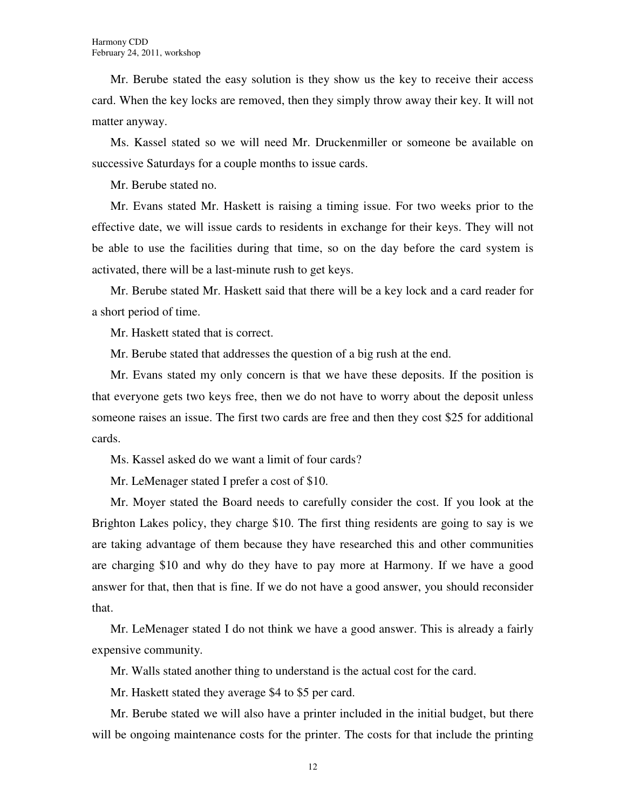Mr. Berube stated the easy solution is they show us the key to receive their access card. When the key locks are removed, then they simply throw away their key. It will not matter anyway.

Ms. Kassel stated so we will need Mr. Druckenmiller or someone be available on successive Saturdays for a couple months to issue cards.

Mr. Berube stated no.

Mr. Evans stated Mr. Haskett is raising a timing issue. For two weeks prior to the effective date, we will issue cards to residents in exchange for their keys. They will not be able to use the facilities during that time, so on the day before the card system is activated, there will be a last-minute rush to get keys.

Mr. Berube stated Mr. Haskett said that there will be a key lock and a card reader for a short period of time.

Mr. Haskett stated that is correct.

Mr. Berube stated that addresses the question of a big rush at the end.

Mr. Evans stated my only concern is that we have these deposits. If the position is that everyone gets two keys free, then we do not have to worry about the deposit unless someone raises an issue. The first two cards are free and then they cost \$25 for additional cards.

Ms. Kassel asked do we want a limit of four cards?

Mr. LeMenager stated I prefer a cost of \$10.

Mr. Moyer stated the Board needs to carefully consider the cost. If you look at the Brighton Lakes policy, they charge \$10. The first thing residents are going to say is we are taking advantage of them because they have researched this and other communities are charging \$10 and why do they have to pay more at Harmony. If we have a good answer for that, then that is fine. If we do not have a good answer, you should reconsider that.

Mr. LeMenager stated I do not think we have a good answer. This is already a fairly expensive community.

Mr. Walls stated another thing to understand is the actual cost for the card.

Mr. Haskett stated they average \$4 to \$5 per card.

Mr. Berube stated we will also have a printer included in the initial budget, but there will be ongoing maintenance costs for the printer. The costs for that include the printing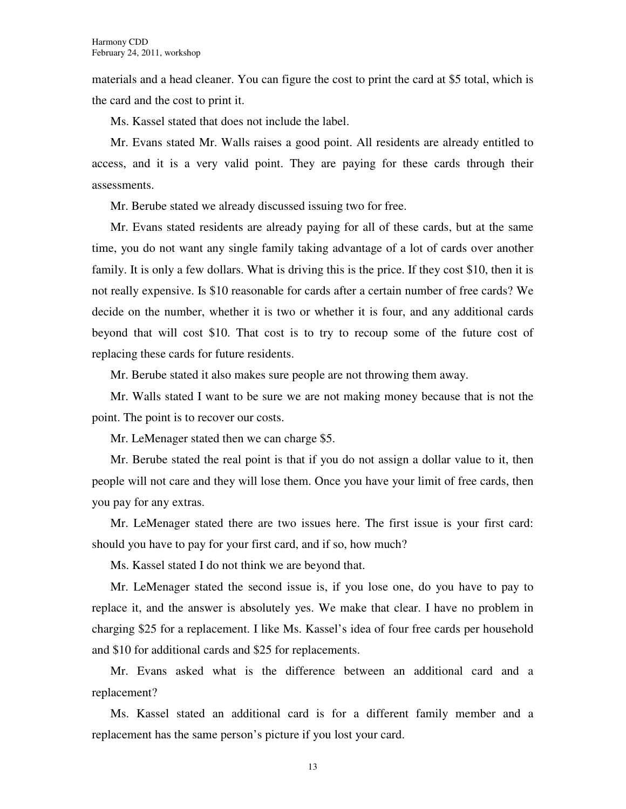materials and a head cleaner. You can figure the cost to print the card at \$5 total, which is the card and the cost to print it.

Ms. Kassel stated that does not include the label.

Mr. Evans stated Mr. Walls raises a good point. All residents are already entitled to access, and it is a very valid point. They are paying for these cards through their assessments.

Mr. Berube stated we already discussed issuing two for free.

Mr. Evans stated residents are already paying for all of these cards, but at the same time, you do not want any single family taking advantage of a lot of cards over another family. It is only a few dollars. What is driving this is the price. If they cost \$10, then it is not really expensive. Is \$10 reasonable for cards after a certain number of free cards? We decide on the number, whether it is two or whether it is four, and any additional cards beyond that will cost \$10. That cost is to try to recoup some of the future cost of replacing these cards for future residents.

Mr. Berube stated it also makes sure people are not throwing them away.

Mr. Walls stated I want to be sure we are not making money because that is not the point. The point is to recover our costs.

Mr. LeMenager stated then we can charge \$5.

Mr. Berube stated the real point is that if you do not assign a dollar value to it, then people will not care and they will lose them. Once you have your limit of free cards, then you pay for any extras.

Mr. LeMenager stated there are two issues here. The first issue is your first card: should you have to pay for your first card, and if so, how much?

Ms. Kassel stated I do not think we are beyond that.

Mr. LeMenager stated the second issue is, if you lose one, do you have to pay to replace it, and the answer is absolutely yes. We make that clear. I have no problem in charging \$25 for a replacement. I like Ms. Kassel's idea of four free cards per household and \$10 for additional cards and \$25 for replacements.

Mr. Evans asked what is the difference between an additional card and a replacement?

Ms. Kassel stated an additional card is for a different family member and a replacement has the same person's picture if you lost your card.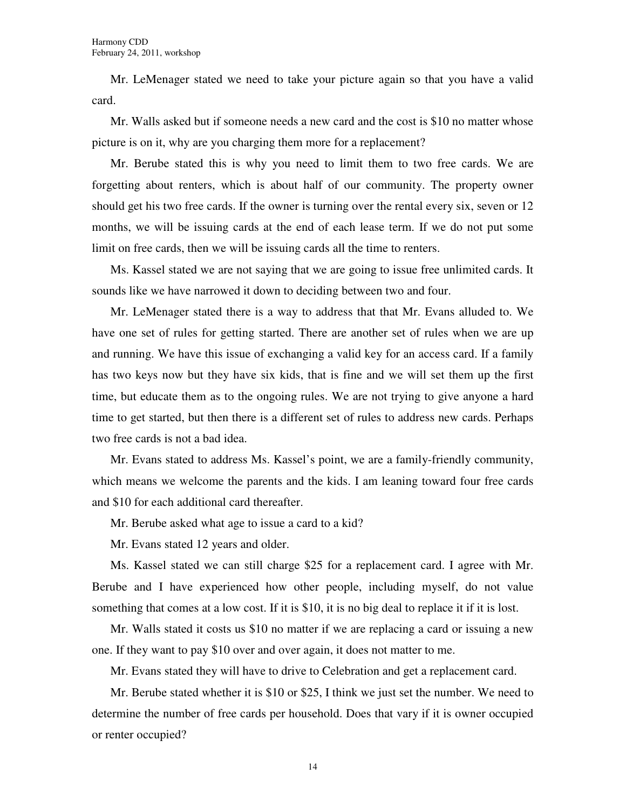Mr. LeMenager stated we need to take your picture again so that you have a valid card.

Mr. Walls asked but if someone needs a new card and the cost is \$10 no matter whose picture is on it, why are you charging them more for a replacement?

Mr. Berube stated this is why you need to limit them to two free cards. We are forgetting about renters, which is about half of our community. The property owner should get his two free cards. If the owner is turning over the rental every six, seven or 12 months, we will be issuing cards at the end of each lease term. If we do not put some limit on free cards, then we will be issuing cards all the time to renters.

Ms. Kassel stated we are not saying that we are going to issue free unlimited cards. It sounds like we have narrowed it down to deciding between two and four.

Mr. LeMenager stated there is a way to address that that Mr. Evans alluded to. We have one set of rules for getting started. There are another set of rules when we are up and running. We have this issue of exchanging a valid key for an access card. If a family has two keys now but they have six kids, that is fine and we will set them up the first time, but educate them as to the ongoing rules. We are not trying to give anyone a hard time to get started, but then there is a different set of rules to address new cards. Perhaps two free cards is not a bad idea.

Mr. Evans stated to address Ms. Kassel's point, we are a family-friendly community, which means we welcome the parents and the kids. I am leaning toward four free cards and \$10 for each additional card thereafter.

Mr. Berube asked what age to issue a card to a kid?

Mr. Evans stated 12 years and older.

Ms. Kassel stated we can still charge \$25 for a replacement card. I agree with Mr. Berube and I have experienced how other people, including myself, do not value something that comes at a low cost. If it is \$10, it is no big deal to replace it if it is lost.

Mr. Walls stated it costs us \$10 no matter if we are replacing a card or issuing a new one. If they want to pay \$10 over and over again, it does not matter to me.

Mr. Evans stated they will have to drive to Celebration and get a replacement card.

Mr. Berube stated whether it is \$10 or \$25, I think we just set the number. We need to determine the number of free cards per household. Does that vary if it is owner occupied or renter occupied?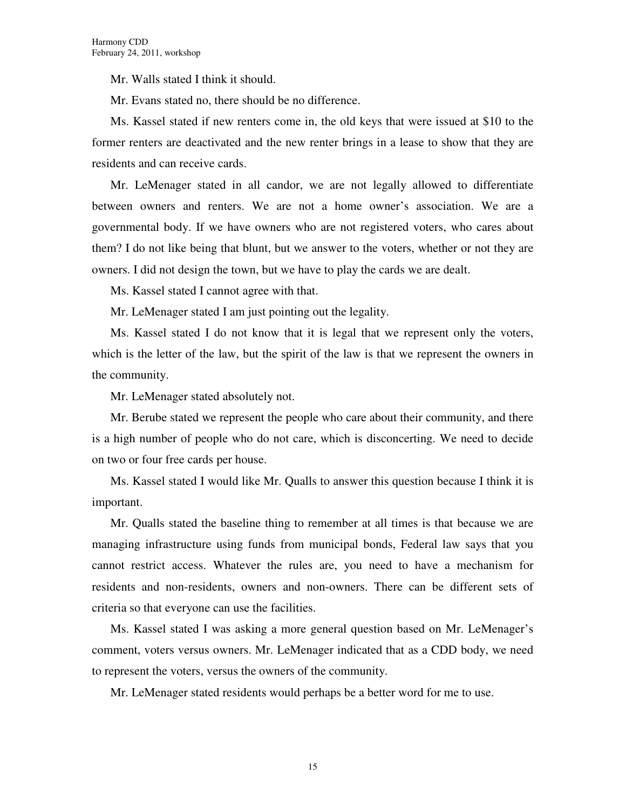Mr. Walls stated I think it should.

Mr. Evans stated no, there should be no difference.

Ms. Kassel stated if new renters come in, the old keys that were issued at \$10 to the former renters are deactivated and the new renter brings in a lease to show that they are residents and can receive cards.

Mr. LeMenager stated in all candor, we are not legally allowed to differentiate between owners and renters. We are not a home owner's association. We are a governmental body. If we have owners who are not registered voters, who cares about them? I do not like being that blunt, but we answer to the voters, whether or not they are owners. I did not design the town, but we have to play the cards we are dealt.

Ms. Kassel stated I cannot agree with that.

Mr. LeMenager stated I am just pointing out the legality.

Ms. Kassel stated I do not know that it is legal that we represent only the voters, which is the letter of the law, but the spirit of the law is that we represent the owners in the community.

Mr. LeMenager stated absolutely not.

Mr. Berube stated we represent the people who care about their community, and there is a high number of people who do not care, which is disconcerting. We need to decide on two or four free cards per house.

Ms. Kassel stated I would like Mr. Qualls to answer this question because I think it is important.

Mr. Qualls stated the baseline thing to remember at all times is that because we are managing infrastructure using funds from municipal bonds, Federal law says that you cannot restrict access. Whatever the rules are, you need to have a mechanism for residents and non-residents, owners and non-owners. There can be different sets of criteria so that everyone can use the facilities.

Ms. Kassel stated I was asking a more general question based on Mr. LeMenager's comment, voters versus owners. Mr. LeMenager indicated that as a CDD body, we need to represent the voters, versus the owners of the community.

Mr. LeMenager stated residents would perhaps be a better word for me to use.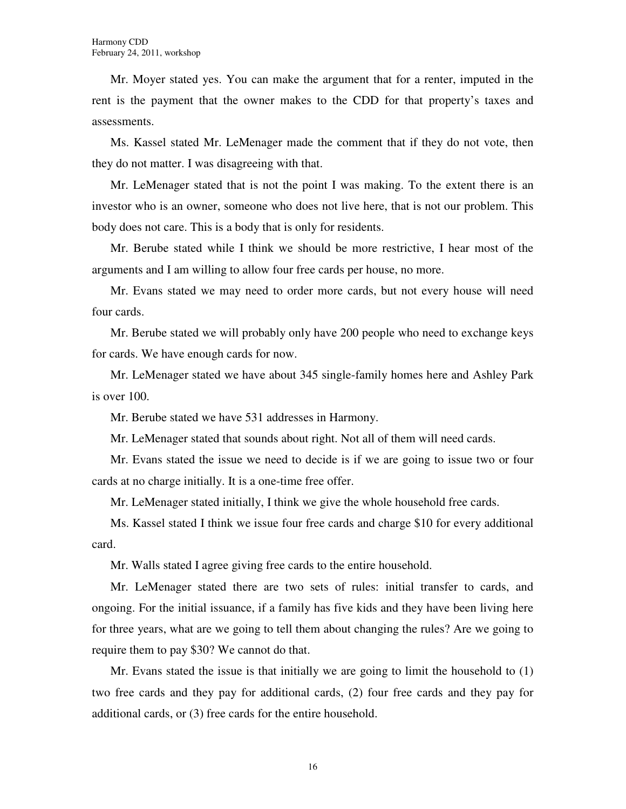Mr. Moyer stated yes. You can make the argument that for a renter, imputed in the rent is the payment that the owner makes to the CDD for that property's taxes and assessments.

Ms. Kassel stated Mr. LeMenager made the comment that if they do not vote, then they do not matter. I was disagreeing with that.

Mr. LeMenager stated that is not the point I was making. To the extent there is an investor who is an owner, someone who does not live here, that is not our problem. This body does not care. This is a body that is only for residents.

Mr. Berube stated while I think we should be more restrictive, I hear most of the arguments and I am willing to allow four free cards per house, no more.

Mr. Evans stated we may need to order more cards, but not every house will need four cards.

Mr. Berube stated we will probably only have 200 people who need to exchange keys for cards. We have enough cards for now.

Mr. LeMenager stated we have about 345 single-family homes here and Ashley Park is over 100.

Mr. Berube stated we have 531 addresses in Harmony.

Mr. LeMenager stated that sounds about right. Not all of them will need cards.

Mr. Evans stated the issue we need to decide is if we are going to issue two or four cards at no charge initially. It is a one-time free offer.

Mr. LeMenager stated initially, I think we give the whole household free cards.

Ms. Kassel stated I think we issue four free cards and charge \$10 for every additional card.

Mr. Walls stated I agree giving free cards to the entire household.

Mr. LeMenager stated there are two sets of rules: initial transfer to cards, and ongoing. For the initial issuance, if a family has five kids and they have been living here for three years, what are we going to tell them about changing the rules? Are we going to require them to pay \$30? We cannot do that.

Mr. Evans stated the issue is that initially we are going to limit the household to (1) two free cards and they pay for additional cards, (2) four free cards and they pay for additional cards, or (3) free cards for the entire household.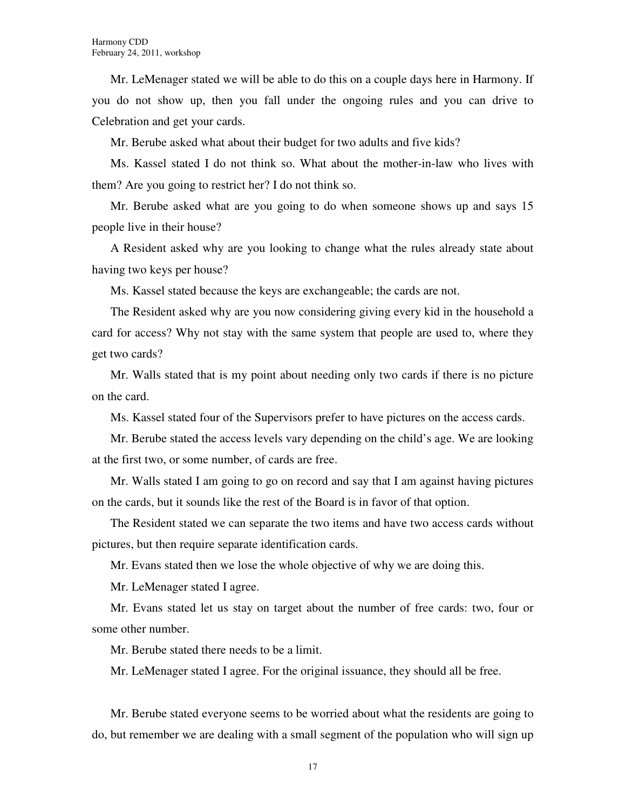Mr. LeMenager stated we will be able to do this on a couple days here in Harmony. If you do not show up, then you fall under the ongoing rules and you can drive to Celebration and get your cards.

Mr. Berube asked what about their budget for two adults and five kids?

Ms. Kassel stated I do not think so. What about the mother-in-law who lives with them? Are you going to restrict her? I do not think so.

Mr. Berube asked what are you going to do when someone shows up and says 15 people live in their house?

A Resident asked why are you looking to change what the rules already state about having two keys per house?

Ms. Kassel stated because the keys are exchangeable; the cards are not.

The Resident asked why are you now considering giving every kid in the household a card for access? Why not stay with the same system that people are used to, where they get two cards?

Mr. Walls stated that is my point about needing only two cards if there is no picture on the card.

Ms. Kassel stated four of the Supervisors prefer to have pictures on the access cards.

Mr. Berube stated the access levels vary depending on the child's age. We are looking at the first two, or some number, of cards are free.

Mr. Walls stated I am going to go on record and say that I am against having pictures on the cards, but it sounds like the rest of the Board is in favor of that option.

The Resident stated we can separate the two items and have two access cards without pictures, but then require separate identification cards.

Mr. Evans stated then we lose the whole objective of why we are doing this.

Mr. LeMenager stated I agree.

Mr. Evans stated let us stay on target about the number of free cards: two, four or some other number.

Mr. Berube stated there needs to be a limit.

Mr. LeMenager stated I agree. For the original issuance, they should all be free.

Mr. Berube stated everyone seems to be worried about what the residents are going to do, but remember we are dealing with a small segment of the population who will sign up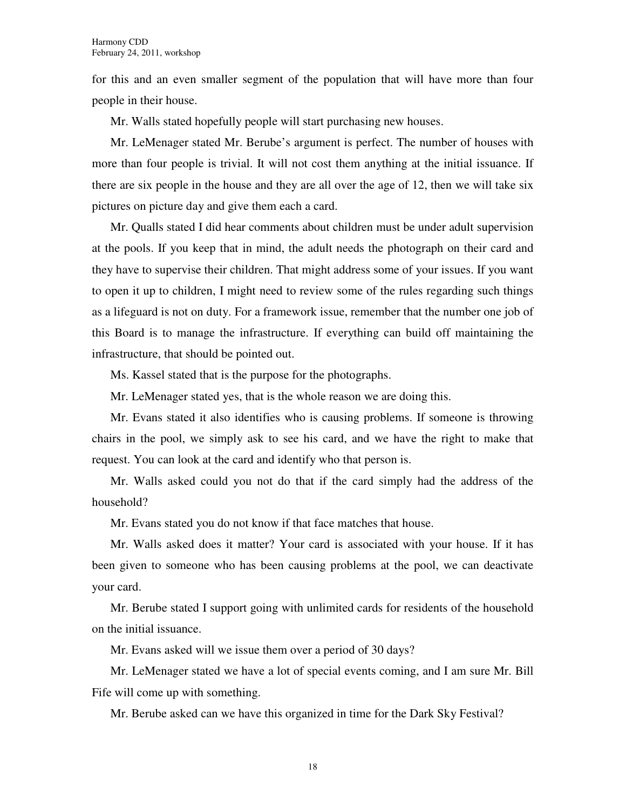for this and an even smaller segment of the population that will have more than four people in their house.

Mr. Walls stated hopefully people will start purchasing new houses.

Mr. LeMenager stated Mr. Berube's argument is perfect. The number of houses with more than four people is trivial. It will not cost them anything at the initial issuance. If there are six people in the house and they are all over the age of 12, then we will take six pictures on picture day and give them each a card.

Mr. Qualls stated I did hear comments about children must be under adult supervision at the pools. If you keep that in mind, the adult needs the photograph on their card and they have to supervise their children. That might address some of your issues. If you want to open it up to children, I might need to review some of the rules regarding such things as a lifeguard is not on duty. For a framework issue, remember that the number one job of this Board is to manage the infrastructure. If everything can build off maintaining the infrastructure, that should be pointed out.

Ms. Kassel stated that is the purpose for the photographs.

Mr. LeMenager stated yes, that is the whole reason we are doing this.

Mr. Evans stated it also identifies who is causing problems. If someone is throwing chairs in the pool, we simply ask to see his card, and we have the right to make that request. You can look at the card and identify who that person is.

Mr. Walls asked could you not do that if the card simply had the address of the household?

Mr. Evans stated you do not know if that face matches that house.

Mr. Walls asked does it matter? Your card is associated with your house. If it has been given to someone who has been causing problems at the pool, we can deactivate your card.

Mr. Berube stated I support going with unlimited cards for residents of the household on the initial issuance.

Mr. Evans asked will we issue them over a period of 30 days?

Mr. LeMenager stated we have a lot of special events coming, and I am sure Mr. Bill Fife will come up with something.

Mr. Berube asked can we have this organized in time for the Dark Sky Festival?

18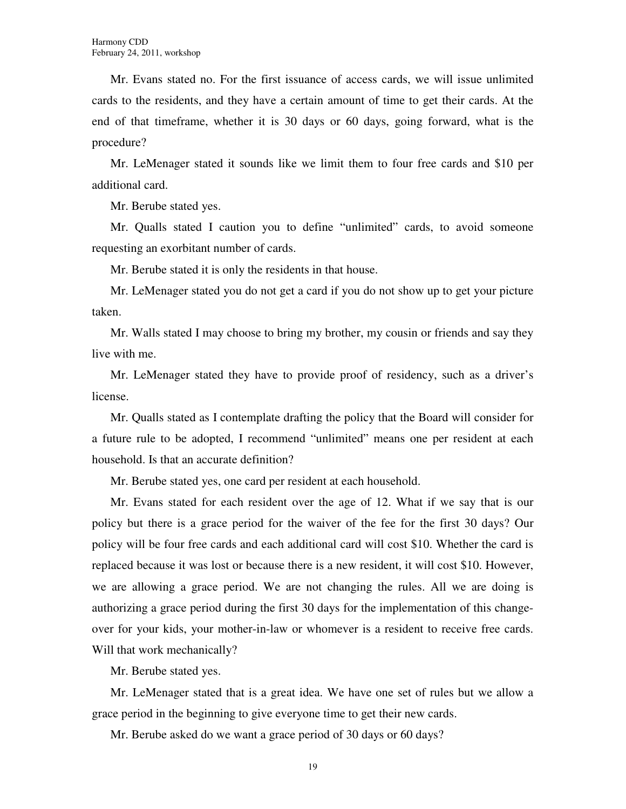Mr. Evans stated no. For the first issuance of access cards, we will issue unlimited cards to the residents, and they have a certain amount of time to get their cards. At the end of that timeframe, whether it is 30 days or 60 days, going forward, what is the procedure?

Mr. LeMenager stated it sounds like we limit them to four free cards and \$10 per additional card.

Mr. Berube stated yes.

Mr. Qualls stated I caution you to define "unlimited" cards, to avoid someone requesting an exorbitant number of cards.

Mr. Berube stated it is only the residents in that house.

Mr. LeMenager stated you do not get a card if you do not show up to get your picture taken.

Mr. Walls stated I may choose to bring my brother, my cousin or friends and say they live with me.

Mr. LeMenager stated they have to provide proof of residency, such as a driver's license.

Mr. Qualls stated as I contemplate drafting the policy that the Board will consider for a future rule to be adopted, I recommend "unlimited" means one per resident at each household. Is that an accurate definition?

Mr. Berube stated yes, one card per resident at each household.

Mr. Evans stated for each resident over the age of 12. What if we say that is our policy but there is a grace period for the waiver of the fee for the first 30 days? Our policy will be four free cards and each additional card will cost \$10. Whether the card is replaced because it was lost or because there is a new resident, it will cost \$10. However, we are allowing a grace period. We are not changing the rules. All we are doing is authorizing a grace period during the first 30 days for the implementation of this changeover for your kids, your mother-in-law or whomever is a resident to receive free cards. Will that work mechanically?

Mr. Berube stated yes.

Mr. LeMenager stated that is a great idea. We have one set of rules but we allow a grace period in the beginning to give everyone time to get their new cards.

Mr. Berube asked do we want a grace period of 30 days or 60 days?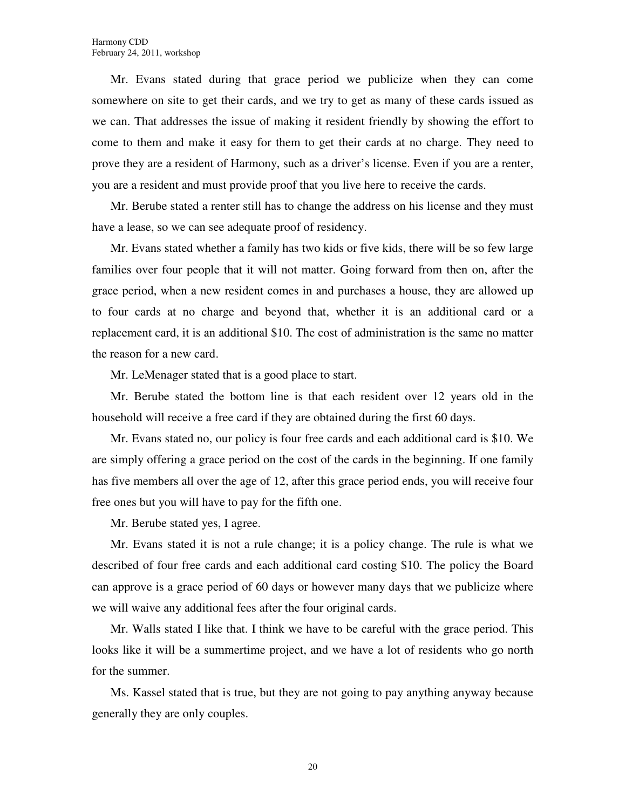Mr. Evans stated during that grace period we publicize when they can come somewhere on site to get their cards, and we try to get as many of these cards issued as we can. That addresses the issue of making it resident friendly by showing the effort to come to them and make it easy for them to get their cards at no charge. They need to prove they are a resident of Harmony, such as a driver's license. Even if you are a renter, you are a resident and must provide proof that you live here to receive the cards.

Mr. Berube stated a renter still has to change the address on his license and they must have a lease, so we can see adequate proof of residency.

Mr. Evans stated whether a family has two kids or five kids, there will be so few large families over four people that it will not matter. Going forward from then on, after the grace period, when a new resident comes in and purchases a house, they are allowed up to four cards at no charge and beyond that, whether it is an additional card or a replacement card, it is an additional \$10. The cost of administration is the same no matter the reason for a new card.

Mr. LeMenager stated that is a good place to start.

Mr. Berube stated the bottom line is that each resident over 12 years old in the household will receive a free card if they are obtained during the first 60 days.

Mr. Evans stated no, our policy is four free cards and each additional card is \$10. We are simply offering a grace period on the cost of the cards in the beginning. If one family has five members all over the age of 12, after this grace period ends, you will receive four free ones but you will have to pay for the fifth one.

Mr. Berube stated yes, I agree.

Mr. Evans stated it is not a rule change; it is a policy change. The rule is what we described of four free cards and each additional card costing \$10. The policy the Board can approve is a grace period of 60 days or however many days that we publicize where we will waive any additional fees after the four original cards.

Mr. Walls stated I like that. I think we have to be careful with the grace period. This looks like it will be a summertime project, and we have a lot of residents who go north for the summer.

Ms. Kassel stated that is true, but they are not going to pay anything anyway because generally they are only couples.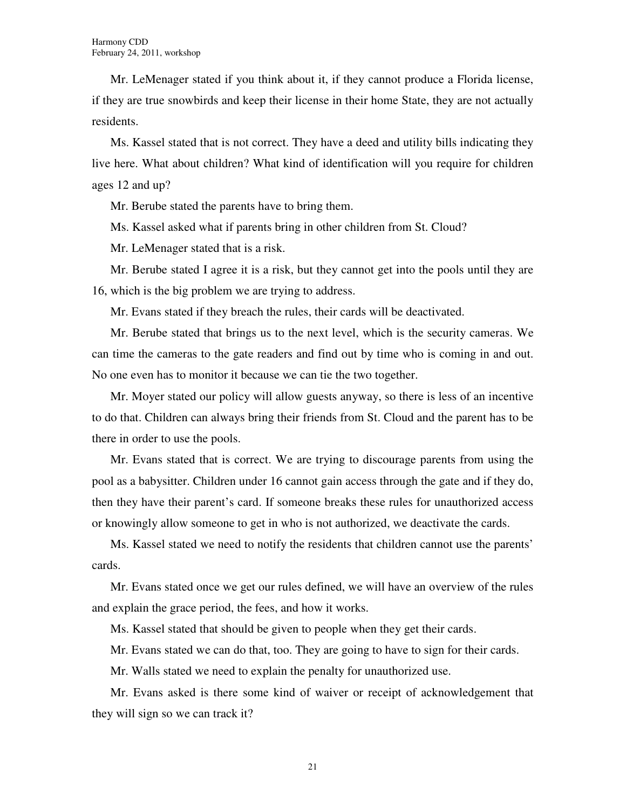Mr. LeMenager stated if you think about it, if they cannot produce a Florida license, if they are true snowbirds and keep their license in their home State, they are not actually residents.

Ms. Kassel stated that is not correct. They have a deed and utility bills indicating they live here. What about children? What kind of identification will you require for children ages 12 and up?

Mr. Berube stated the parents have to bring them.

Ms. Kassel asked what if parents bring in other children from St. Cloud?

Mr. LeMenager stated that is a risk.

Mr. Berube stated I agree it is a risk, but they cannot get into the pools until they are 16, which is the big problem we are trying to address.

Mr. Evans stated if they breach the rules, their cards will be deactivated.

Mr. Berube stated that brings us to the next level, which is the security cameras. We can time the cameras to the gate readers and find out by time who is coming in and out. No one even has to monitor it because we can tie the two together.

Mr. Moyer stated our policy will allow guests anyway, so there is less of an incentive to do that. Children can always bring their friends from St. Cloud and the parent has to be there in order to use the pools.

Mr. Evans stated that is correct. We are trying to discourage parents from using the pool as a babysitter. Children under 16 cannot gain access through the gate and if they do, then they have their parent's card. If someone breaks these rules for unauthorized access or knowingly allow someone to get in who is not authorized, we deactivate the cards.

Ms. Kassel stated we need to notify the residents that children cannot use the parents' cards.

Mr. Evans stated once we get our rules defined, we will have an overview of the rules and explain the grace period, the fees, and how it works.

Ms. Kassel stated that should be given to people when they get their cards.

Mr. Evans stated we can do that, too. They are going to have to sign for their cards.

Mr. Walls stated we need to explain the penalty for unauthorized use.

Mr. Evans asked is there some kind of waiver or receipt of acknowledgement that they will sign so we can track it?

21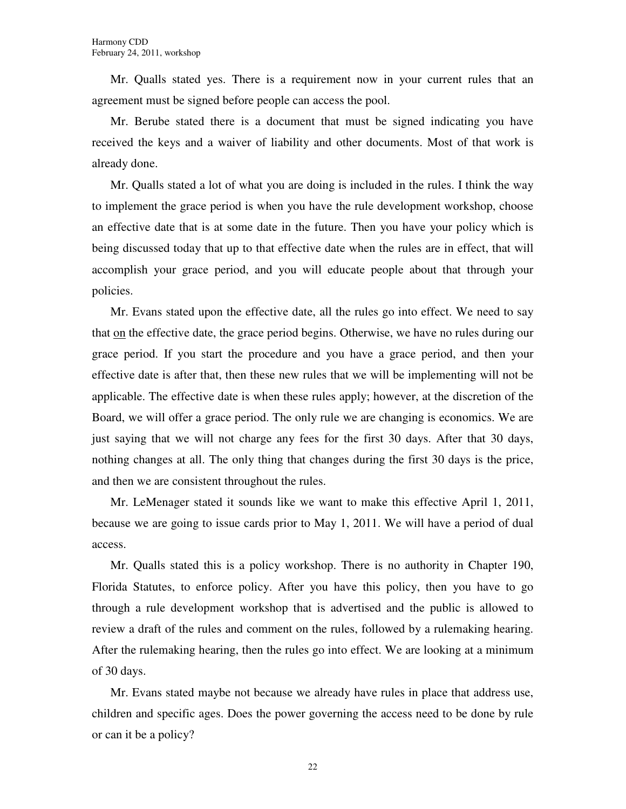Mr. Qualls stated yes. There is a requirement now in your current rules that an agreement must be signed before people can access the pool.

Mr. Berube stated there is a document that must be signed indicating you have received the keys and a waiver of liability and other documents. Most of that work is already done.

Mr. Qualls stated a lot of what you are doing is included in the rules. I think the way to implement the grace period is when you have the rule development workshop, choose an effective date that is at some date in the future. Then you have your policy which is being discussed today that up to that effective date when the rules are in effect, that will accomplish your grace period, and you will educate people about that through your policies.

Mr. Evans stated upon the effective date, all the rules go into effect. We need to say that on the effective date, the grace period begins. Otherwise, we have no rules during our grace period. If you start the procedure and you have a grace period, and then your effective date is after that, then these new rules that we will be implementing will not be applicable. The effective date is when these rules apply; however, at the discretion of the Board, we will offer a grace period. The only rule we are changing is economics. We are just saying that we will not charge any fees for the first 30 days. After that 30 days, nothing changes at all. The only thing that changes during the first 30 days is the price, and then we are consistent throughout the rules.

Mr. LeMenager stated it sounds like we want to make this effective April 1, 2011, because we are going to issue cards prior to May 1, 2011. We will have a period of dual access.

Mr. Qualls stated this is a policy workshop. There is no authority in Chapter 190, Florida Statutes, to enforce policy. After you have this policy, then you have to go through a rule development workshop that is advertised and the public is allowed to review a draft of the rules and comment on the rules, followed by a rulemaking hearing. After the rulemaking hearing, then the rules go into effect. We are looking at a minimum of 30 days.

Mr. Evans stated maybe not because we already have rules in place that address use, children and specific ages. Does the power governing the access need to be done by rule or can it be a policy?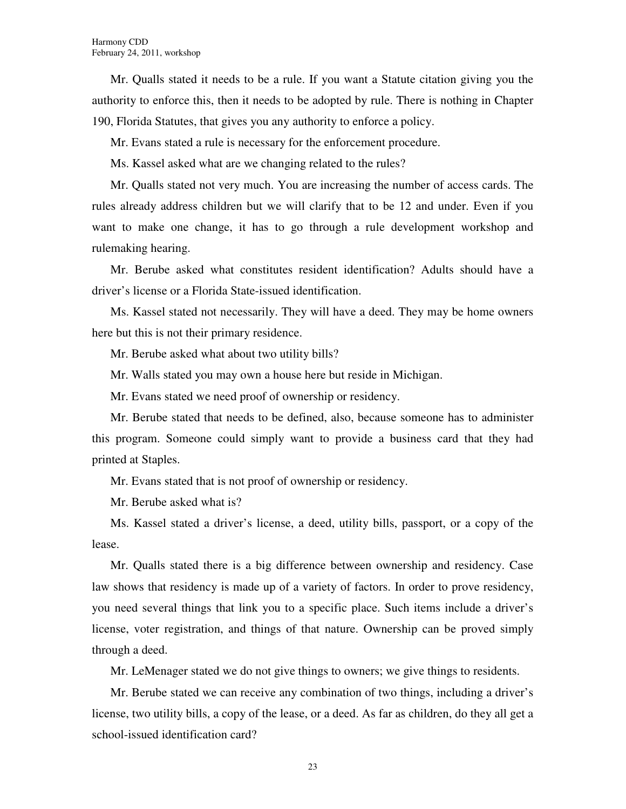Mr. Qualls stated it needs to be a rule. If you want a Statute citation giving you the authority to enforce this, then it needs to be adopted by rule. There is nothing in Chapter 190, Florida Statutes, that gives you any authority to enforce a policy.

Mr. Evans stated a rule is necessary for the enforcement procedure.

Ms. Kassel asked what are we changing related to the rules?

Mr. Qualls stated not very much. You are increasing the number of access cards. The rules already address children but we will clarify that to be 12 and under. Even if you want to make one change, it has to go through a rule development workshop and rulemaking hearing.

Mr. Berube asked what constitutes resident identification? Adults should have a driver's license or a Florida State-issued identification.

Ms. Kassel stated not necessarily. They will have a deed. They may be home owners here but this is not their primary residence.

Mr. Berube asked what about two utility bills?

Mr. Walls stated you may own a house here but reside in Michigan.

Mr. Evans stated we need proof of ownership or residency.

Mr. Berube stated that needs to be defined, also, because someone has to administer this program. Someone could simply want to provide a business card that they had printed at Staples.

Mr. Evans stated that is not proof of ownership or residency.

Mr. Berube asked what is?

Ms. Kassel stated a driver's license, a deed, utility bills, passport, or a copy of the lease.

Mr. Qualls stated there is a big difference between ownership and residency. Case law shows that residency is made up of a variety of factors. In order to prove residency, you need several things that link you to a specific place. Such items include a driver's license, voter registration, and things of that nature. Ownership can be proved simply through a deed.

Mr. LeMenager stated we do not give things to owners; we give things to residents.

Mr. Berube stated we can receive any combination of two things, including a driver's license, two utility bills, a copy of the lease, or a deed. As far as children, do they all get a school-issued identification card?

23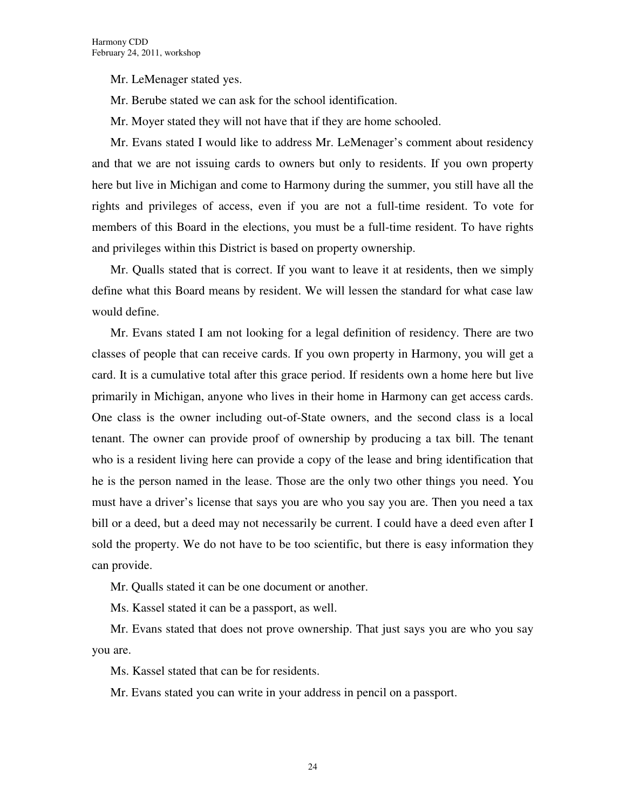Mr. LeMenager stated yes.

Mr. Berube stated we can ask for the school identification.

Mr. Moyer stated they will not have that if they are home schooled.

Mr. Evans stated I would like to address Mr. LeMenager's comment about residency and that we are not issuing cards to owners but only to residents. If you own property here but live in Michigan and come to Harmony during the summer, you still have all the rights and privileges of access, even if you are not a full-time resident. To vote for members of this Board in the elections, you must be a full-time resident. To have rights and privileges within this District is based on property ownership.

Mr. Qualls stated that is correct. If you want to leave it at residents, then we simply define what this Board means by resident. We will lessen the standard for what case law would define.

Mr. Evans stated I am not looking for a legal definition of residency. There are two classes of people that can receive cards. If you own property in Harmony, you will get a card. It is a cumulative total after this grace period. If residents own a home here but live primarily in Michigan, anyone who lives in their home in Harmony can get access cards. One class is the owner including out-of-State owners, and the second class is a local tenant. The owner can provide proof of ownership by producing a tax bill. The tenant who is a resident living here can provide a copy of the lease and bring identification that he is the person named in the lease. Those are the only two other things you need. You must have a driver's license that says you are who you say you are. Then you need a tax bill or a deed, but a deed may not necessarily be current. I could have a deed even after I sold the property. We do not have to be too scientific, but there is easy information they can provide.

Mr. Qualls stated it can be one document or another.

Ms. Kassel stated it can be a passport, as well.

Mr. Evans stated that does not prove ownership. That just says you are who you say you are.

Ms. Kassel stated that can be for residents.

Mr. Evans stated you can write in your address in pencil on a passport.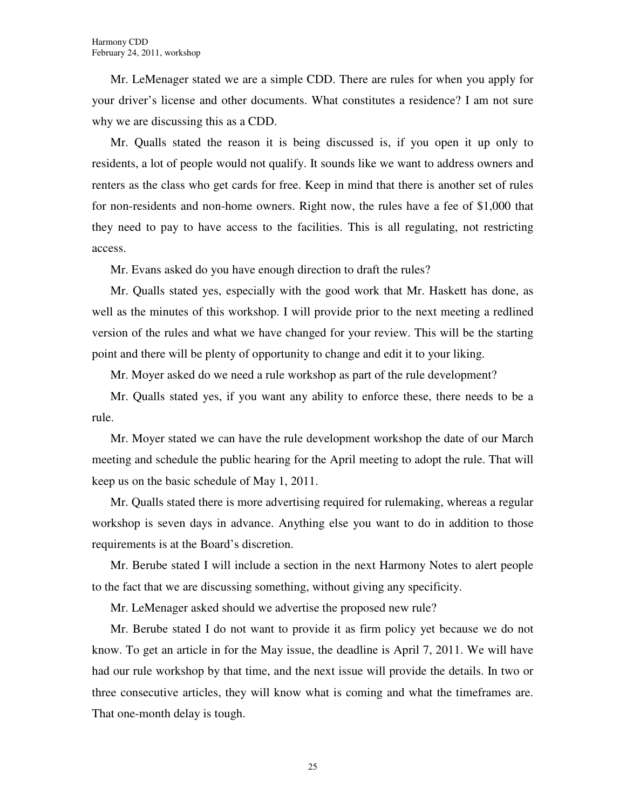Mr. LeMenager stated we are a simple CDD. There are rules for when you apply for your driver's license and other documents. What constitutes a residence? I am not sure why we are discussing this as a CDD.

Mr. Qualls stated the reason it is being discussed is, if you open it up only to residents, a lot of people would not qualify. It sounds like we want to address owners and renters as the class who get cards for free. Keep in mind that there is another set of rules for non-residents and non-home owners. Right now, the rules have a fee of \$1,000 that they need to pay to have access to the facilities. This is all regulating, not restricting access.

Mr. Evans asked do you have enough direction to draft the rules?

Mr. Qualls stated yes, especially with the good work that Mr. Haskett has done, as well as the minutes of this workshop. I will provide prior to the next meeting a redlined version of the rules and what we have changed for your review. This will be the starting point and there will be plenty of opportunity to change and edit it to your liking.

Mr. Moyer asked do we need a rule workshop as part of the rule development?

Mr. Qualls stated yes, if you want any ability to enforce these, there needs to be a rule.

Mr. Moyer stated we can have the rule development workshop the date of our March meeting and schedule the public hearing for the April meeting to adopt the rule. That will keep us on the basic schedule of May 1, 2011.

Mr. Qualls stated there is more advertising required for rulemaking, whereas a regular workshop is seven days in advance. Anything else you want to do in addition to those requirements is at the Board's discretion.

Mr. Berube stated I will include a section in the next Harmony Notes to alert people to the fact that we are discussing something, without giving any specificity.

Mr. LeMenager asked should we advertise the proposed new rule?

Mr. Berube stated I do not want to provide it as firm policy yet because we do not know. To get an article in for the May issue, the deadline is April 7, 2011. We will have had our rule workshop by that time, and the next issue will provide the details. In two or three consecutive articles, they will know what is coming and what the timeframes are. That one-month delay is tough.